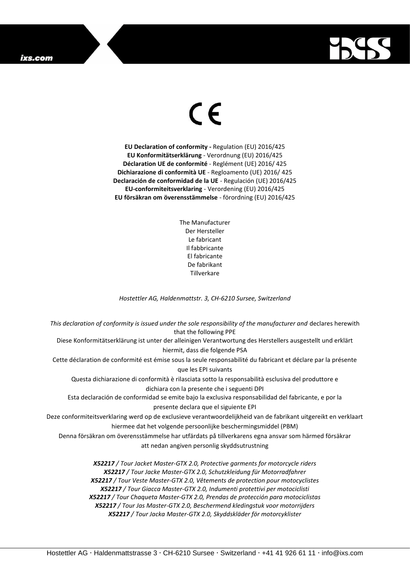## ixs.com



## $\epsilon$

**EU Declaration of conformity -** Regulation (EU) 2016/425 **EU Konformitätserklärung** - Verordnung (EU) 2016/425 **Déclaration UE de conformité** - Reglément (UE) 2016/ 425 **Dichiarazione di conformità UE** - Regloamento (UE) 2016/ 425 **Declaración de conformidad de la UE** - Regulación (UE) 2016/425 **EU-conformiteitsverklaring** - Verordening (EU) 2016/425 **EU försäkran om överensstämmelse** - förordning (EU) 2016/425

> The Manufacturer Der Hersteller Le fabricant Il fabbricante El fabricante De fabrikant **Tillverkare**

*Hostettler AG, Haldenmattstr. 3, CH-6210 Sursee, Switzerland*

*This declaration of conformity is issued under the sole responsibility of the manufacturer and* declares herewith that the following PPE Diese Konformitätserklärung ist unter der alleinigen Verantwortung des Herstellers ausgestellt und erklärt hiermit, dass die folgende PSA Cette déclaration de conformité est émise sous la seule responsabilité du fabricant et déclare par la présente que les EPI suivants Questa dichiarazione di conformità è rilasciata sotto la responsabilità esclusiva del produttore e dichiara con la presente che i seguenti DPI Esta declaración de conformidad se emite bajo la exclusiva responsabilidad del fabricante, e por la presente declara que el siguiente EPI Deze conformiteitsverklaring werd op de exclusieve verantwoordelijkheid van de fabrikant uitgereikt en verklaart hiermee dat het volgende persoonlijke beschermingsmiddel (PBM) Denna försäkran om överensstämmelse har utfärdats på tillverkarens egna ansvar som härmed försäkrar att nedan angiven personlig skyddsutrustning *X52217 / Tour Jacket Master-GTX 2.0, Protective garments for motorcycle riders X52217 / Tour Jacke Master-GTX 2.0, Schutzkleidung für Motorradfahrer X52217 / Tour Veste Master-GTX 2.0, Vêtements de protection pour motocyclistes X52217 / Tour Giacca Master-GTX 2.0, Indumenti protettivi per motociclisti X52217 / Tour Chaqueta Master-GTX 2.0, Prendas de protección para motociclistas*

*X52217 / Tour Jas Master-GTX 2.0, Beschermend kledingstuk voor motorrijders*

*X52217 / Tour Jacka Master-GTX 2.0, Skyddskläder för motorcyklister*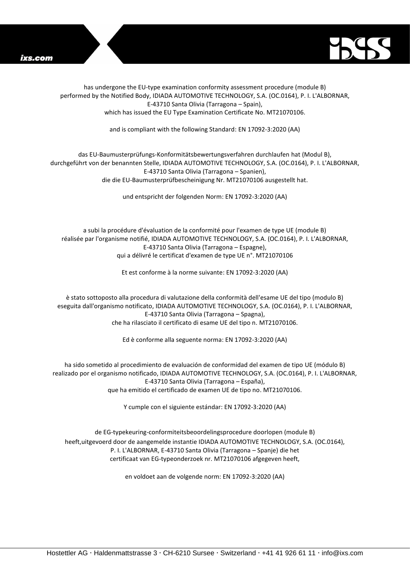



has undergone the EU-type examination conformity assessment procedure (module B) performed by the Notified Body, IDIADA AUTOMOTIVE TECHNOLOGY, S.A. (OC.0164), P. I. L'ALBORNAR, E-43710 Santa Olivia (Tarragona – Spain), which has issued the EU Type Examination Certificate No. MT21070106.

and is compliant with the following Standard: EN 17092-3:2020 (AA)

## das EU-Baumusterprüfungs-Konformitätsbewertungsverfahren durchlaufen hat (Modul B), durchgeführt von der benannten Stelle, IDIADA AUTOMOTIVE TECHNOLOGY, S.A. (OC.0164), P. I. L'ALBORNAR, E-43710 Santa Olivia (Tarragona – Spanien), die die EU-Baumusterprüfbescheinigung Nr. MT21070106 ausgestellt hat.

und entspricht der folgenden Norm: EN 17092-3:2020 (AA)

a subi la procédure d'évaluation de la conformité pour l'examen de type UE (module B) réalisée par l'organisme notifié, IDIADA AUTOMOTIVE TECHNOLOGY, S.A. (OC.0164), P. I. L'ALBORNAR, E-43710 Santa Olivia (Tarragona – Espagne), qui a délivré le certificat d'examen de type UE n°. MT21070106

Et est conforme à la norme suivante: EN 17092-3:2020 (AA)

è stato sottoposto alla procedura di valutazione della conformità dell'esame UE del tipo (modulo B) eseguita dall'organismo notificato, IDIADA AUTOMOTIVE TECHNOLOGY, S.A. (OC.0164), P. I. L'ALBORNAR, E-43710 Santa Olivia (Tarragona – Spagna), che ha rilasciato il certificato di esame UE del tipo n. MT21070106.

Ed è conforme alla seguente norma: EN 17092-3:2020 (AA)

ha sido sometido al procedimiento de evaluación de conformidad del examen de tipo UE (módulo B) realizado por el organismo notificado, IDIADA AUTOMOTIVE TECHNOLOGY, S.A. (OC.0164), P. I. L'ALBORNAR, E-43710 Santa Olivia (Tarragona – España), que ha emitido el certificado de examen UE de tipo no. MT21070106.

Y cumple con el siguiente estándar: EN 17092-3:2020 (AA)

de EG-typekeuring-conformiteitsbeoordelingsprocedure doorlopen (module B) heeft,uitgevoerd door de aangemelde instantie IDIADA AUTOMOTIVE TECHNOLOGY, S.A. (OC.0164), P. I. L'ALBORNAR, E-43710 Santa Olivia (Tarragona – Spanje) die het certificaat van EG-typeonderzoek nr. MT21070106 afgegeven heeft,

en voldoet aan de volgende norm: EN 17092-3:2020 (AA)